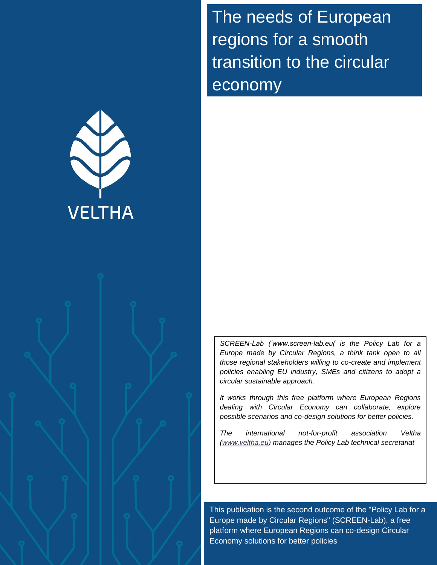



*SCREEN-Lab ('www.screen-lab.eu( is the Policy Lab for a Europe made by Circular Regions, a think tank open to all those regional stakeholders willing to co-create and implement policies enabling EU industry, SMEs and citizens to adopt a circular sustainable approach.* 

*It works through this free platform where European Regions dealing with Circular Economy can collaborate, explore possible scenarios and co-design solutions for better policies.* 

*The international not-for-profit association Veltha (www.veltha.eu) manages the Policy Lab technical secretariat*

This publication is the second outcome of the "Policy Lab for a Europe made by Circular Regions" (SCREEN-Lab), a free platform where European Regions can co-design Circular Economy solutions for better policies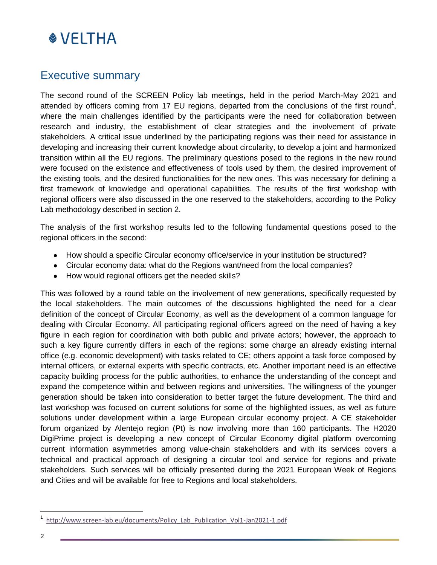### Executive summary

The second round of the SCREEN Policy lab meetings, held in the period March-May 2021 and attended by officers coming from 17 EU regions, departed from the conclusions of the first round<sup>1</sup>, where the main challenges identified by the participants were the need for collaboration between research and industry, the establishment of clear strategies and the involvement of private stakeholders. A critical issue underlined by the participating regions was their need for assistance in developing and increasing their current knowledge about circularity, to develop a joint and harmonized transition within all the EU regions. The preliminary questions posed to the regions in the new round were focused on the existence and effectiveness of tools used by them, the desired improvement of the existing tools, and the desired functionalities for the new ones. This was necessary for defining a first framework of knowledge and operational capabilities. The results of the first workshop with regional officers were also discussed in the one reserved to the stakeholders, according to the Policy Lab methodology described in section 2.

The analysis of the first workshop results led to the following fundamental questions posed to the regional officers in the second:

- How should a specific Circular economy office/service in your institution be structured?
- Circular economy data: what do the Regions want/need from the local companies?
- How would regional officers get the needed skills?

This was followed by a round table on the involvement of new generations, specifically requested by the local stakeholders. The main outcomes of the discussions highlighted the need for a clear definition of the concept of Circular Economy, as well as the development of a common language for dealing with Circular Economy. All participating regional officers agreed on the need of having a key figure in each region for coordination with both public and private actors; however, the approach to such a key figure currently differs in each of the regions: some charge an already existing internal office (e.g. economic development) with tasks related to CE; others appoint a task force composed by internal officers, or external experts with specific contracts, etc. Another important need is an effective capacity building process for the public authorities, to enhance the understanding of the concept and expand the competence within and between regions and universities. The willingness of the younger generation should be taken into consideration to better target the future development. The third and last workshop was focused on current solutions for some of the highlighted issues, as well as future solutions under development within a large European circular economy project. A CE stakeholder forum organized by Alentejo region (Pt) is now involving more than 160 participants. The H2020 DigiPrime project is developing a new concept of Circular Economy digital platform overcoming current information asymmetries among value-chain stakeholders and with its services covers a technical and practical approach of designing a circular tool and service for regions and private stakeholders. Such services will be officially presented during the 2021 European Week of Regions and Cities and will be available for free to Regions and local stakeholders.

l

<sup>&</sup>lt;sup>1</sup> http://www.screen-lab.eu/documents/Policy Lab Publication Vol1-Jan2021-1.pdf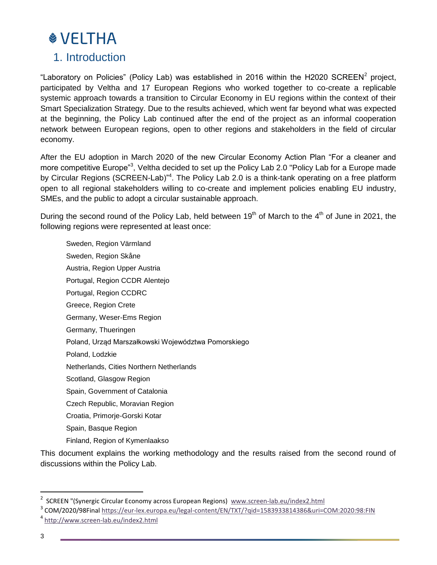## 1. Introduction

"Laboratory on Policies" (Policy Lab) was established in 2016 within the H2020 SCREEN<sup>2</sup> project, participated by Veltha and 17 European Regions who worked together to co-create a replicable systemic approach towards a transition to Circular Economy in EU regions within the context of their Smart Specialization Strategy. Due to the results achieved, which went far beyond what was expected at the beginning, the Policy Lab continued after the end of the project as an informal cooperation network between European regions, open to other regions and stakeholders in the field of circular economy.

After the EU adoption in March 2020 of the new Circular Economy Action Plan "For a cleaner and more competitive Europe"<sup>3</sup>, Veltha decided to set up the Policy Lab 2.0 "Policy Lab for a Europe made by Circular Regions (SCREEN-Lab)"<sup>4</sup>. The Policy Lab 2.0 is a think-tank operating on a free platform open to all regional stakeholders willing to co-create and implement policies enabling EU industry, SMEs, and the public to adopt a circular sustainable approach.

During the second round of the Policy Lab, held between 19<sup>th</sup> of March to the 4<sup>th</sup> of June in 2021, the following regions were represented at least once:

Sweden, Region Värmland Sweden, Region Skåne Austria, Region Upper Austria Portugal, Region CCDR Alentejo Portugal, Region CCDRC Greece, Region Crete Germany, Weser-Ems Region Germany, Thueringen Poland, Urząd Marszałkowski Województwa Pomorskiego Poland, Lodzkie Netherlands, Cities Northern Netherlands Scotland, Glasgow Region Spain, Government of Catalonia Czech Republic, Moravian Region Croatia, Primorje-Gorski Kotar Spain, Basque Region Finland, Region of Kymenlaakso

This document explains the working methodology and the results raised from the second round of discussions within the Policy Lab.

 $\overline{\phantom{a}}$ 

<sup>&</sup>lt;sup>2</sup> SCREEN "(Synergic Circular Economy across European Regions) [www.screen-lab.eu/index2.html](http://www.screen-lab.eu/index2.html)

<sup>3</sup> COM/2020/98Fina[l https://eur-lex.europa.eu/legal-content/EN/TXT/?qid=1583933814386&uri=COM:2020:98:FIN](https://eur-lex.europa.eu/legal-content/EN/TXT/?qid=1583933814386&uri=COM:2020:98:FIN)

<sup>4</sup> <http://www.screen-lab.eu/index2.html>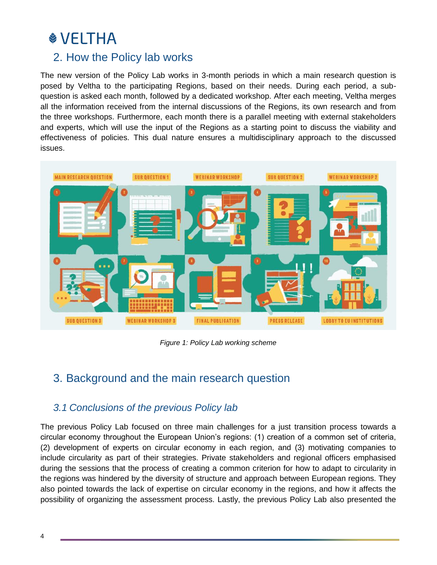## 2. How the Policy lab works

The new version of the Policy Lab works in 3-month periods in which a main research question is posed by Veltha to the participating Regions, based on their needs. During each period, a subquestion is asked each month, followed by a dedicated workshop. After each meeting, Veltha merges all the information received from the internal discussions of the Regions, its own research and from the three workshops. Furthermore, each month there is a parallel meeting with external stakeholders and experts, which will use the input of the Regions as a starting point to discuss the viability and effectiveness of policies. This dual nature ensures a multidisciplinary approach to the discussed issues.



*Figure 1: Policy Lab working scheme*

## 3. Background and the main research question

### *3.1 Conclusions of the previous Policy lab*

The previous Policy Lab focused on three main challenges for a just transition process towards a circular economy throughout the European Union's regions: (1) creation of a common set of criteria, (2) development of experts on circular economy in each region, and (3) motivating companies to include circularity as part of their strategies. Private stakeholders and regional officers emphasised during the sessions that the process of creating a common criterion for how to adapt to circularity in the regions was hindered by the diversity of structure and approach between European regions. They also pointed towards the lack of expertise on circular economy in the regions, and how it affects the possibility of organizing the assessment process. Lastly, the previous Policy Lab also presented the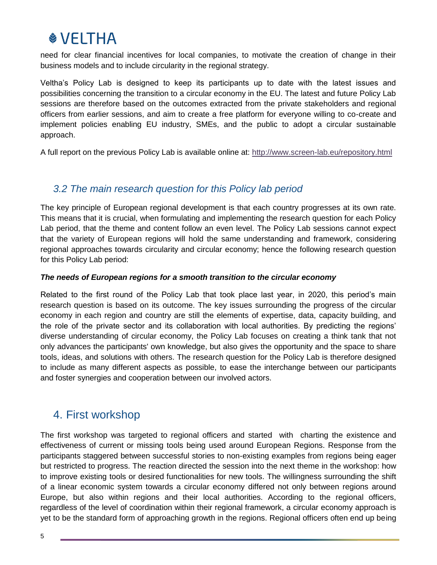need for clear financial incentives for local companies, to motivate the creation of change in their business models and to include circularity in the regional strategy.

Veltha's Policy Lab is designed to keep its participants up to date with the latest issues and possibilities concerning the transition to a circular economy in the EU. The latest and future Policy Lab sessions are therefore based on the outcomes extracted from the private stakeholders and regional officers from earlier sessions, and aim to create a free platform for everyone willing to co-create and implement policies enabling EU industry, SMEs, and the public to adopt a circular sustainable approach.

A full report on the previous Policy Lab is available online at:<http://www.screen-lab.eu/repository.html>

#### *3.2 The main research question for this Policy lab period*

The key principle of European regional development is that each country progresses at its own rate. This means that it is crucial, when formulating and implementing the research question for each Policy Lab period, that the theme and content follow an even level. The Policy Lab sessions cannot expect that the variety of European regions will hold the same understanding and framework, considering regional approaches towards circularity and circular economy; hence the following research question for this Policy Lab period:

#### *The needs of European regions for a smooth transition to the circular economy*

Related to the first round of the Policy Lab that took place last year, in 2020, this period's main research question is based on its outcome. The key issues surrounding the progress of the circular economy in each region and country are still the elements of expertise, data, capacity building, and the role of the private sector and its collaboration with local authorities. By predicting the regions' diverse understanding of circular economy, the Policy Lab focuses on creating a think tank that not only advances the participants' own knowledge, but also gives the opportunity and the space to share tools, ideas, and solutions with others. The research question for the Policy Lab is therefore designed to include as many different aspects as possible, to ease the interchange between our participants and foster synergies and cooperation between our involved actors.

## 4. First workshop

The first workshop was targeted to regional officers and started with charting the existence and effectiveness of current or missing tools being used around European Regions. Response from the participants staggered between successful stories to non-existing examples from regions being eager but restricted to progress. The reaction directed the session into the next theme in the workshop: how to improve existing tools or desired functionalities for new tools. The willingness surrounding the shift of a linear economic system towards a circular economy differed not only between regions around Europe, but also within regions and their local authorities. According to the regional officers, regardless of the level of coordination within their regional framework, a circular economy approach is yet to be the standard form of approaching growth in the regions. Regional officers often end up being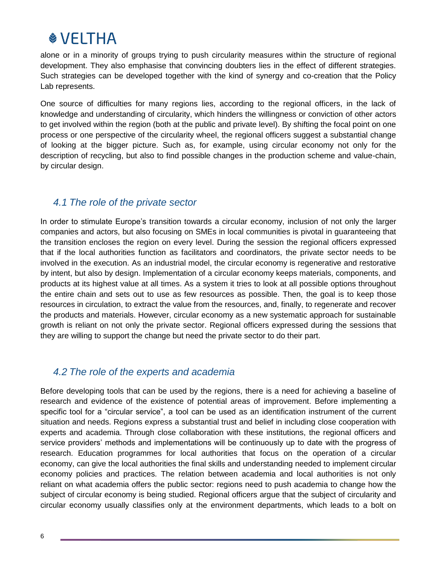alone or in a minority of groups trying to push circularity measures within the structure of regional development. They also emphasise that convincing doubters lies in the effect of different strategies. Such strategies can be developed together with the kind of synergy and co-creation that the Policy Lab represents.

One source of difficulties for many regions lies, according to the regional officers, in the lack of knowledge and understanding of circularity, which hinders the willingness or conviction of other actors to get involved within the region (both at the public and private level). By shifting the focal point on one process or one perspective of the circularity wheel, the regional officers suggest a substantial change of looking at the bigger picture. Such as, for example, using circular economy not only for the description of recycling, but also to find possible changes in the production scheme and value-chain, by circular design.

#### *4.1 The role of the private sector*

In order to stimulate Europe's transition towards a circular economy, inclusion of not only the larger companies and actors, but also focusing on SMEs in local communities is pivotal in guaranteeing that the transition encloses the region on every level. During the session the regional officers expressed that if the local authorities function as facilitators and coordinators, the private sector needs to be involved in the execution. As an industrial model, the circular economy is regenerative and restorative by intent, but also by design. Implementation of a circular economy keeps materials, components, and products at its highest value at all times. As a system it tries to look at all possible options throughout the entire chain and sets out to use as few resources as possible. Then, the goal is to keep those resources in circulation, to extract the value from the resources, and, finally, to regenerate and recover the products and materials. However, circular economy as a new systematic approach for sustainable growth is reliant on not only the private sector. Regional officers expressed during the sessions that they are willing to support the change but need the private sector to do their part.

#### *4.2 The role of the experts and academia*

Before developing tools that can be used by the regions, there is a need for achieving a baseline of research and evidence of the existence of potential areas of improvement. Before implementing a specific tool for a "circular service", a tool can be used as an identification instrument of the current situation and needs. Regions express a substantial trust and belief in including close cooperation with experts and academia. Through close collaboration with these institutions, the regional officers and service providers' methods and implementations will be continuously up to date with the progress of research. Education programmes for local authorities that focus on the operation of a circular economy, can give the local authorities the final skills and understanding needed to implement circular economy policies and practices. The relation between academia and local authorities is not only reliant on what academia offers the public sector: regions need to push academia to change how the subject of circular economy is being studied. Regional officers argue that the subject of circularity and circular economy usually classifies only at the environment departments, which leads to a bolt on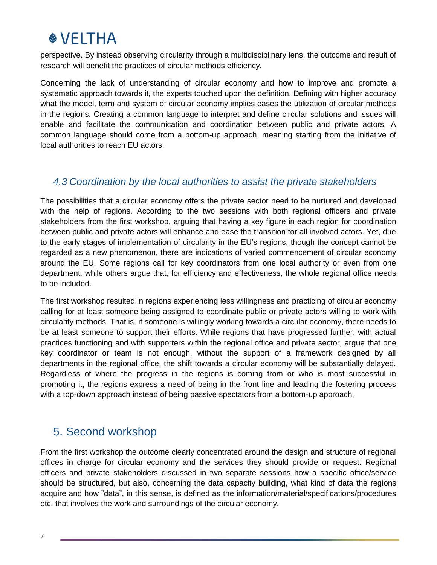perspective. By instead observing circularity through a multidisciplinary lens, the outcome and result of research will benefit the practices of circular methods efficiency.

Concerning the lack of understanding of circular economy and how to improve and promote a systematic approach towards it, the experts touched upon the definition. Defining with higher accuracy what the model, term and system of circular economy implies eases the utilization of circular methods in the regions. Creating a common language to interpret and define circular solutions and issues will enable and facilitate the communication and coordination between public and private actors. A common language should come from a bottom-up approach, meaning starting from the initiative of local authorities to reach EU actors.

#### *4.3 Coordination by the local authorities to assist the private stakeholders*

The possibilities that a circular economy offers the private sector need to be nurtured and developed with the help of regions. According to the two sessions with both regional officers and private stakeholders from the first workshop, arguing that having a key figure in each region for coordination between public and private actors will enhance and ease the transition for all involved actors. Yet, due to the early stages of implementation of circularity in the EU's regions, though the concept cannot be regarded as a new phenomenon, there are indications of varied commencement of circular economy around the EU. Some regions call for key coordinators from one local authority or even from one department, while others argue that, for efficiency and effectiveness, the whole regional office needs to be included.

The first workshop resulted in regions experiencing less willingness and practicing of circular economy calling for at least someone being assigned to coordinate public or private actors willing to work with circularity methods. That is, if someone is willingly working towards a circular economy, there needs to be at least someone to support their efforts. While regions that have progressed further, with actual practices functioning and with supporters within the regional office and private sector, argue that one key coordinator or team is not enough, without the support of a framework designed by all departments in the regional office, the shift towards a circular economy will be substantially delayed. Regardless of where the progress in the regions is coming from or who is most successful in promoting it, the regions express a need of being in the front line and leading the fostering process with a top-down approach instead of being passive spectators from a bottom-up approach.

## 5. Second workshop

From the first workshop the outcome clearly concentrated around the design and structure of regional offices in charge for circular economy and the services they should provide or request. Regional officers and private stakeholders discussed in two separate sessions how a specific office/service should be structured, but also, concerning the data capacity building, what kind of data the regions acquire and how "data", in this sense, is defined as the information/material/specifications/procedures etc. that involves the work and surroundings of the circular economy.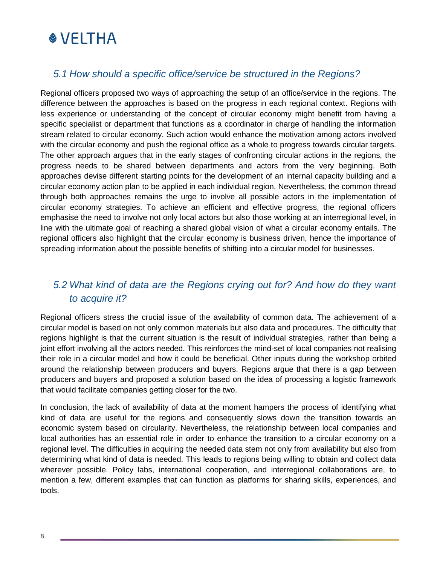### *5.1 How should a specific office/service be structured in the Regions?*

Regional officers proposed two ways of approaching the setup of an office/service in the regions. The difference between the approaches is based on the progress in each regional context. Regions with less experience or understanding of the concept of circular economy might benefit from having a specific specialist or department that functions as a coordinator in charge of handling the information stream related to circular economy. Such action would enhance the motivation among actors involved with the circular economy and push the regional office as a whole to progress towards circular targets. The other approach argues that in the early stages of confronting circular actions in the regions, the progress needs to be shared between departments and actors from the very beginning. Both approaches devise different starting points for the development of an internal capacity building and a circular economy action plan to be applied in each individual region. Nevertheless, the common thread through both approaches remains the urge to involve all possible actors in the implementation of circular economy strategies. To achieve an efficient and effective progress, the regional officers emphasise the need to involve not only local actors but also those working at an interregional level, in line with the ultimate goal of reaching a shared global vision of what a circular economy entails. The regional officers also highlight that the circular economy is business driven, hence the importance of spreading information about the possible benefits of shifting into a circular model for businesses.

### *5.2 What kind of data are the Regions crying out for? And how do they want to acquire it?*

Regional officers stress the crucial issue of the availability of common data. The achievement of a circular model is based on not only common materials but also data and procedures. The difficulty that regions highlight is that the current situation is the result of individual strategies, rather than being a joint effort involving all the actors needed. This reinforces the mind-set of local companies not realising their role in a circular model and how it could be beneficial. Other inputs during the workshop orbited around the relationship between producers and buyers. Regions argue that there is a gap between producers and buyers and proposed a solution based on the idea of processing a logistic framework that would facilitate companies getting closer for the two.

In conclusion, the lack of availability of data at the moment hampers the process of identifying what kind of data are useful for the regions and consequently slows down the transition towards an economic system based on circularity. Nevertheless, the relationship between local companies and local authorities has an essential role in order to enhance the transition to a circular economy on a regional level. The difficulties in acquiring the needed data stem not only from availability but also from determining what kind of data is needed. This leads to regions being willing to obtain and collect data wherever possible. Policy labs, international cooperation, and interregional collaborations are, to mention a few, different examples that can function as platforms for sharing skills, experiences, and tools.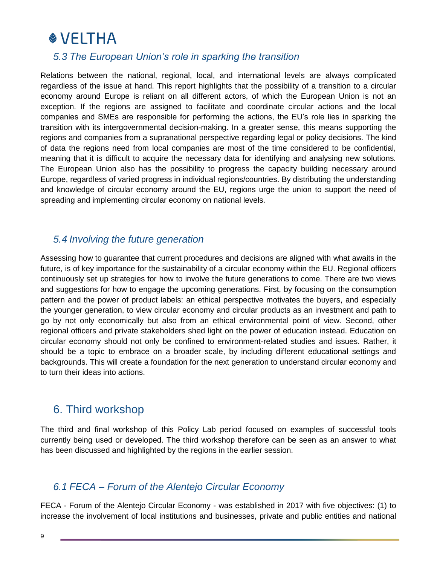#### *5.3 The European Union's role in sparking the transition*

Relations between the national, regional, local, and international levels are always complicated regardless of the issue at hand. This report highlights that the possibility of a transition to a circular economy around Europe is reliant on all different actors, of which the European Union is not an exception. If the regions are assigned to facilitate and coordinate circular actions and the local companies and SMEs are responsible for performing the actions, the EU's role lies in sparking the transition with its intergovernmental decision-making. In a greater sense, this means supporting the regions and companies from a supranational perspective regarding legal or policy decisions. The kind of data the regions need from local companies are most of the time considered to be confidential, meaning that it is difficult to acquire the necessary data for identifying and analysing new solutions. The European Union also has the possibility to progress the capacity building necessary around Europe, regardless of varied progress in individual regions/countries. By distributing the understanding and knowledge of circular economy around the EU, regions urge the union to support the need of spreading and implementing circular economy on national levels.

#### *5.4 Involving the future generation*

Assessing how to guarantee that current procedures and decisions are aligned with what awaits in the future, is of key importance for the sustainability of a circular economy within the EU. Regional officers continuously set up strategies for how to involve the future generations to come. There are two views and suggestions for how to engage the upcoming generations. First, by focusing on the consumption pattern and the power of product labels: an ethical perspective motivates the buyers, and especially the younger generation, to view circular economy and circular products as an investment and path to go by not only economically but also from an ethical environmental point of view. Second, other regional officers and private stakeholders shed light on the power of education instead. Education on circular economy should not only be confined to environment-related studies and issues. Rather, it should be a topic to embrace on a broader scale, by including different educational settings and backgrounds. This will create a foundation for the next generation to understand circular economy and to turn their ideas into actions.

## 6. Third workshop

The third and final workshop of this Policy Lab period focused on examples of successful tools currently being used or developed. The third workshop therefore can be seen as an answer to what has been discussed and highlighted by the regions in the earlier session.

#### *6.1 FECA – Forum of the Alentejo Circular Economy*

FECA - Forum of the Alentejo Circular Economy - was established in 2017 with five objectives: (1) to increase the involvement of local institutions and businesses, private and public entities and national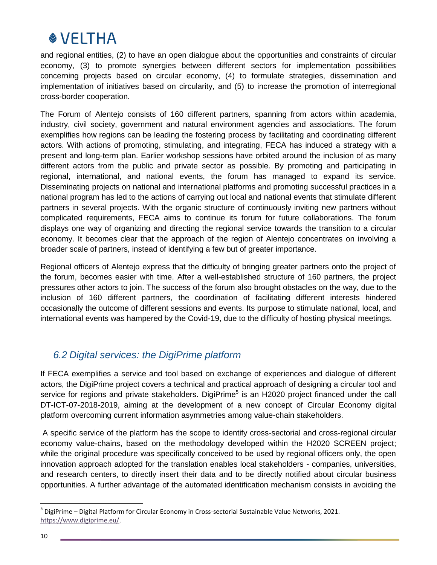and regional entities, (2) to have an open dialogue about the opportunities and constraints of circular economy, (3) to promote synergies between different sectors for implementation possibilities concerning projects based on circular economy, (4) to formulate strategies, dissemination and implementation of initiatives based on circularity, and (5) to increase the promotion of interregional cross-border cooperation.

The Forum of Alentejo consists of 160 different partners, spanning from actors within academia, industry, civil society, government and natural environment agencies and associations. The forum exemplifies how regions can be leading the fostering process by facilitating and coordinating different actors. With actions of promoting, stimulating, and integrating, FECA has induced a strategy with a present and long-term plan. Earlier workshop sessions have orbited around the inclusion of as many different actors from the public and private sector as possible. By promoting and participating in regional, international, and national events, the forum has managed to expand its service. Disseminating projects on national and international platforms and promoting successful practices in a national program has led to the actions of carrying out local and national events that stimulate different partners in several projects. With the organic structure of continuously inviting new partners without complicated requirements, FECA aims to continue its forum for future collaborations. The forum displays one way of organizing and directing the regional service towards the transition to a circular economy. It becomes clear that the approach of the region of Alentejo concentrates on involving a broader scale of partners, instead of identifying a few but of greater importance.

Regional officers of Alentejo express that the difficulty of bringing greater partners onto the project of the forum, becomes easier with time. After a well-established structure of 160 partners, the project pressures other actors to join. The success of the forum also brought obstacles on the way, due to the inclusion of 160 different partners, the coordination of facilitating different interests hindered occasionally the outcome of different sessions and events. Its purpose to stimulate national, local, and international events was hampered by the Covid-19, due to the difficulty of hosting physical meetings.

### *6.2 Digital services: the DigiPrime platform*

If FECA exemplifies a service and tool based on exchange of experiences and dialogue of different actors, the DigiPrime project covers a technical and practical approach of designing a circular tool and service for regions and private stakeholders. DigiPrime<sup>5</sup> is an H2020 project financed under the call DT-ICT-07-2018-2019, aiming at the development of a new concept of Circular Economy digital platform overcoming current information asymmetries among value-chain stakeholders.

A specific service of the platform has the scope to identify cross-sectorial and cross-regional circular economy value-chains, based on the methodology developed within the H2020 SCREEN project; while the original procedure was specifically conceived to be used by regional officers only, the open innovation approach adopted for the translation enables local stakeholders - companies, universities, and research centers, to directly insert their data and to be directly notified about circular business opportunities. A further advantage of the automated identification mechanism consists in avoiding the

 $\overline{\phantom{a}}$ 

<sup>5</sup> DigiPrime – Digital Platform for Circular Economy in Cross-sectorial Sustainable Value Networks, 2021. [https://www.digiprime.eu/.](https://www.digiprime.eu/)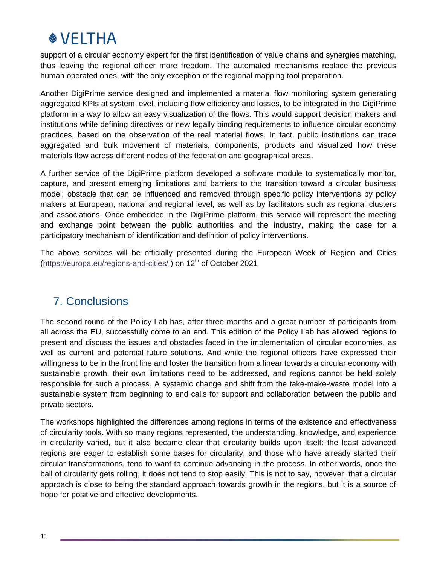support of a circular economy expert for the first identification of value chains and synergies matching, thus leaving the regional officer more freedom. The automated mechanisms replace the previous human operated ones, with the only exception of the regional mapping tool preparation.

Another DigiPrime service designed and implemented a material flow monitoring system generating aggregated KPIs at system level, including flow efficiency and losses, to be integrated in the DigiPrime platform in a way to allow an easy visualization of the flows. This would support decision makers and institutions while defining directives or new legally binding requirements to influence circular economy practices, based on the observation of the real material flows. In fact, public institutions can trace aggregated and bulk movement of materials, components, products and visualized how these materials flow across different nodes of the federation and geographical areas.

A further service of the DigiPrime platform developed a software module to systematically monitor, capture, and present emerging limitations and barriers to the transition toward a circular business model; obstacle that can be influenced and removed through specific policy interventions by policy makers at European, national and regional level, as well as by facilitators such as regional clusters and associations. Once embedded in the DigiPrime platform, this service will represent the meeting and exchange point between the public authorities and the industry, making the case for a participatory mechanism of identification and definition of policy interventions.

The above services will be officially presented during the European Week of Region and Cities [\(https://europa.eu/regions-and-cities/](https://europa.eu/regions-and-cities/)) on  $12<sup>th</sup>$  of October 2021

## 7. Conclusions

The second round of the Policy Lab has, after three months and a great number of participants from all across the EU, successfully come to an end. This edition of the Policy Lab has allowed regions to present and discuss the issues and obstacles faced in the implementation of circular economies, as well as current and potential future solutions. And while the regional officers have expressed their willingness to be in the front line and foster the transition from a linear towards a circular economy with sustainable growth, their own limitations need to be addressed, and regions cannot be held solely responsible for such a process. A systemic change and shift from the take-make-waste model into a sustainable system from beginning to end calls for support and collaboration between the public and private sectors.

The workshops highlighted the differences among regions in terms of the existence and effectiveness of circularity tools. With so many regions represented, the understanding, knowledge, and experience in circularity varied, but it also became clear that circularity builds upon itself: the least advanced regions are eager to establish some bases for circularity, and those who have already started their circular transformations, tend to want to continue advancing in the process. In other words, once the ball of circularity gets rolling, it does not tend to stop easily. This is not to say, however, that a circular approach is close to being the standard approach towards growth in the regions, but it is a source of hope for positive and effective developments.